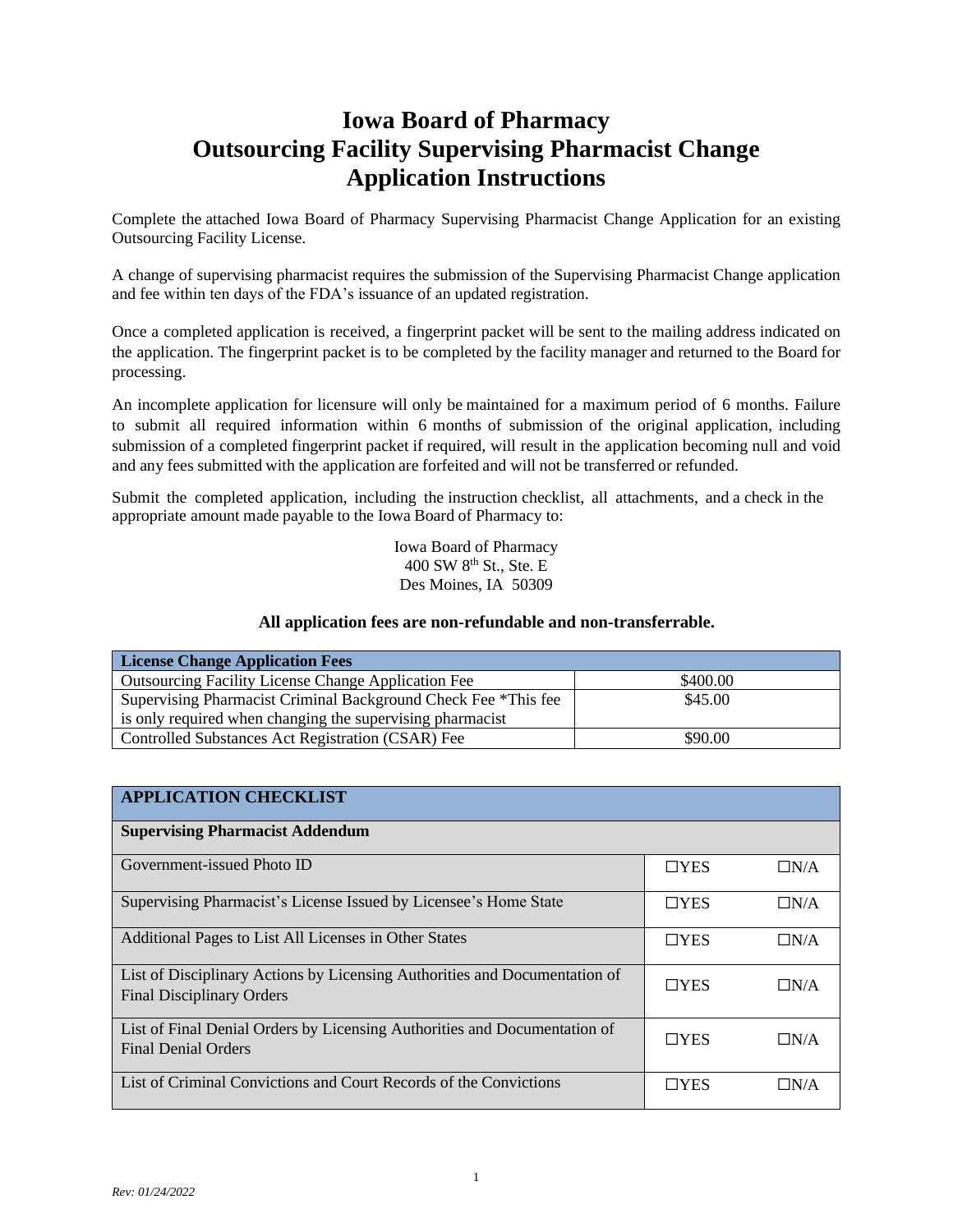# **Iowa Board of Pharmacy Outsourcing Facility Supervising Pharmacist Change Application Instructions**

Complete the attached Iowa Board of Pharmacy Supervising Pharmacist Change Application for an existing Outsourcing Facility License.

A change of supervising pharmacist requires the submission of the Supervising Pharmacist Change application and fee within ten days of the FDA's issuance of an updated registration.

Once a completed application is received, a fingerprint packet will be sent to the mailing address indicated on the application. The fingerprint packet is to be completed by the facility manager and returned to the Board for processing.

An incomplete application for licensure will only be maintained for a maximum period of 6 months. Failure to submit all required information within 6 months of submission of the original application, including submission of a completed fingerprint packet if required, will result in the application becoming null and void and any fees submitted with the application are forfeited and will not be transferred or refunded.

Submit the completed application, including the instruction checklist, all attachments, and a check in the appropriate amount made payable to the Iowa Board of Pharmacy to:

> Iowa Board of Pharmacy  $400$  SW  $8^{th}$  St., Ste. E Des Moines, IA 50309

#### **All application fees are non-refundable and non-transferrable.**

| <b>License Change Application Fees</b>                                    |          |  |  |
|---------------------------------------------------------------------------|----------|--|--|
| <b>Outsourcing Facility License Change Application Fee</b>                | \$400.00 |  |  |
| \$45.00<br>Supervising Pharmacist Criminal Background Check Fee *This fee |          |  |  |
| is only required when changing the supervising pharmacist                 |          |  |  |
| \$90.00<br><b>Controlled Substances Act Registration (CSAR) Fee</b>       |          |  |  |

| <b>APPLICATION CHECKLIST</b>                                                                                   |            |            |
|----------------------------------------------------------------------------------------------------------------|------------|------------|
| <b>Supervising Pharmacist Addendum</b>                                                                         |            |            |
| Government-issued Photo ID                                                                                     | $\Box$ YES | $\Box N/A$ |
| Supervising Pharmacist's License Issued by Licensee's Home State                                               | $\Box$ YES | $\Box N/A$ |
| Additional Pages to List All Licenses in Other States                                                          | $\Box$ YES | $\Box N/A$ |
| List of Disciplinary Actions by Licensing Authorities and Documentation of<br><b>Final Disciplinary Orders</b> | $\Box$ YES | $\Box N/A$ |
| List of Final Denial Orders by Licensing Authorities and Documentation of<br><b>Final Denial Orders</b>        | $\Box$ YES | $\Box N/A$ |
| List of Criminal Convictions and Court Records of the Convictions                                              | $\Box$ YES | $\Box N/A$ |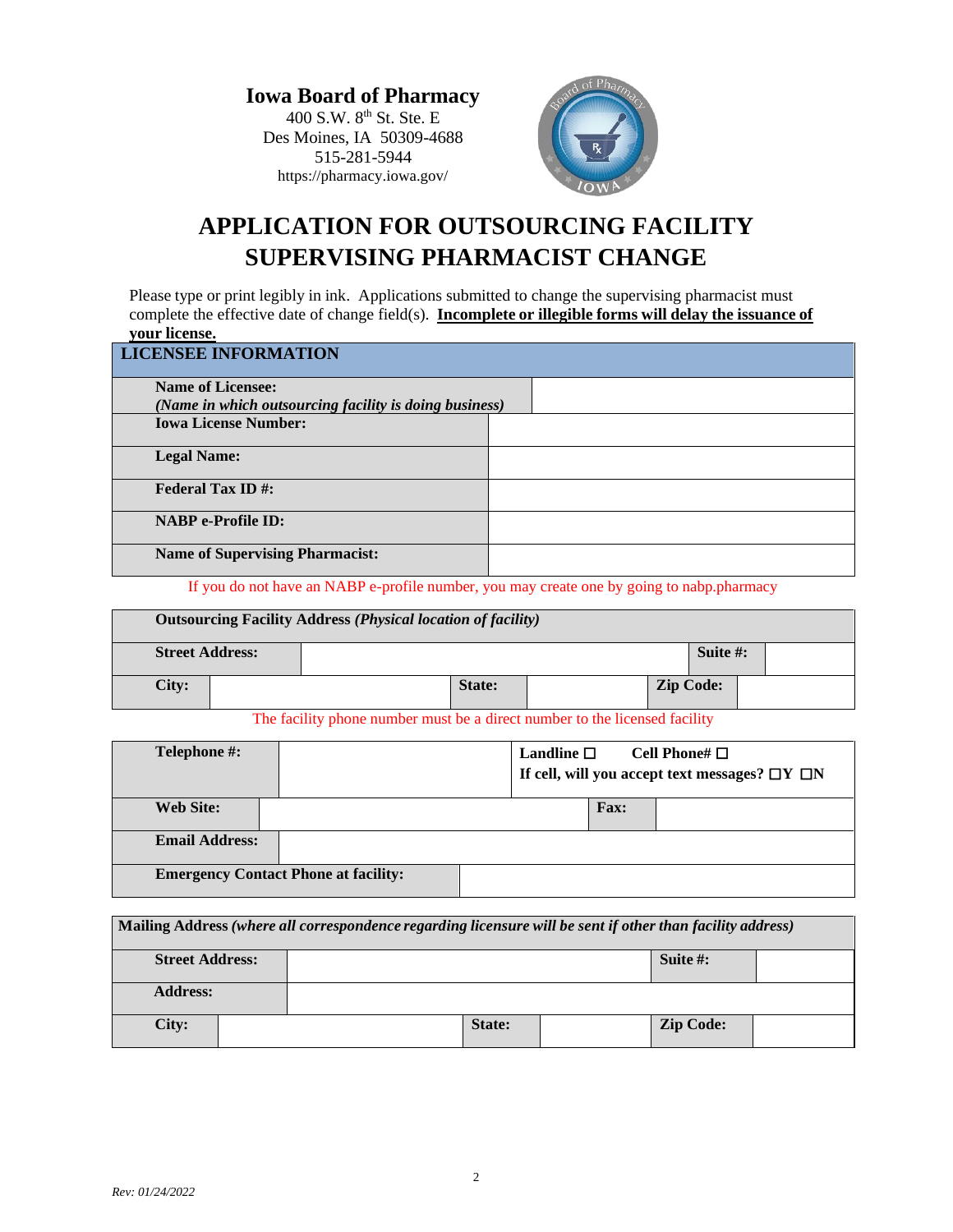**Iowa Board of Pharmacy** 400 S.W. 8<sup>th</sup> St. Ste. E Des Moines, IA 50309-4688 515-281-5944 https://pharmacy.iowa.gov/



# **APPLICATION FOR OUTSOURCING FACILITY SUPERVISING PHARMACIST CHANGE**

Please type or print legibly in ink. Applications submitted to change the supervising pharmacist must complete the effective date of change field(s). **Incomplete or illegible forms will delay the issuance of your license.**

| <b>LICENSEE INFORMATION</b>                            |  |
|--------------------------------------------------------|--|
| <b>Name of Licensee:</b>                               |  |
| (Name in which outsourcing facility is doing business) |  |
| <b>Iowa License Number:</b>                            |  |
| <b>Legal Name:</b>                                     |  |
| <b>Federal Tax ID#:</b>                                |  |
| <b>NABP</b> e-Profile ID:                              |  |
| <b>Name of Supervising Pharmacist:</b>                 |  |

If you do not have an NABP e-profile number, you may create one by going to nabp.pharmacy

| <b>Outsourcing Facility Address (Physical location of facility)</b> |  |        |                  |             |
|---------------------------------------------------------------------|--|--------|------------------|-------------|
| <b>Street Address:</b>                                              |  |        |                  | Suite $#$ : |
| City:                                                               |  | State: | <b>Zip Code:</b> |             |

The facility phone number must be a direct number to the licensed facility

| Telephone #:          |                                             | Landline $\square$<br>Cell Phone# $\Box$<br>If cell, will you accept text messages? $\Box Y \Box N$ |  |             |  |
|-----------------------|---------------------------------------------|-----------------------------------------------------------------------------------------------------|--|-------------|--|
| <b>Web Site:</b>      |                                             |                                                                                                     |  | <b>Fax:</b> |  |
| <b>Email Address:</b> |                                             |                                                                                                     |  |             |  |
|                       | <b>Emergency Contact Phone at facility:</b> |                                                                                                     |  |             |  |

| Mailing Address (where all correspondence regarding licensure will be sent if other than facility address) |  |  |        |  |                  |  |
|------------------------------------------------------------------------------------------------------------|--|--|--------|--|------------------|--|
| <b>Street Address:</b>                                                                                     |  |  |        |  | Suite $\#$ :     |  |
| <b>Address:</b>                                                                                            |  |  |        |  |                  |  |
| City:                                                                                                      |  |  | State: |  | <b>Zip Code:</b> |  |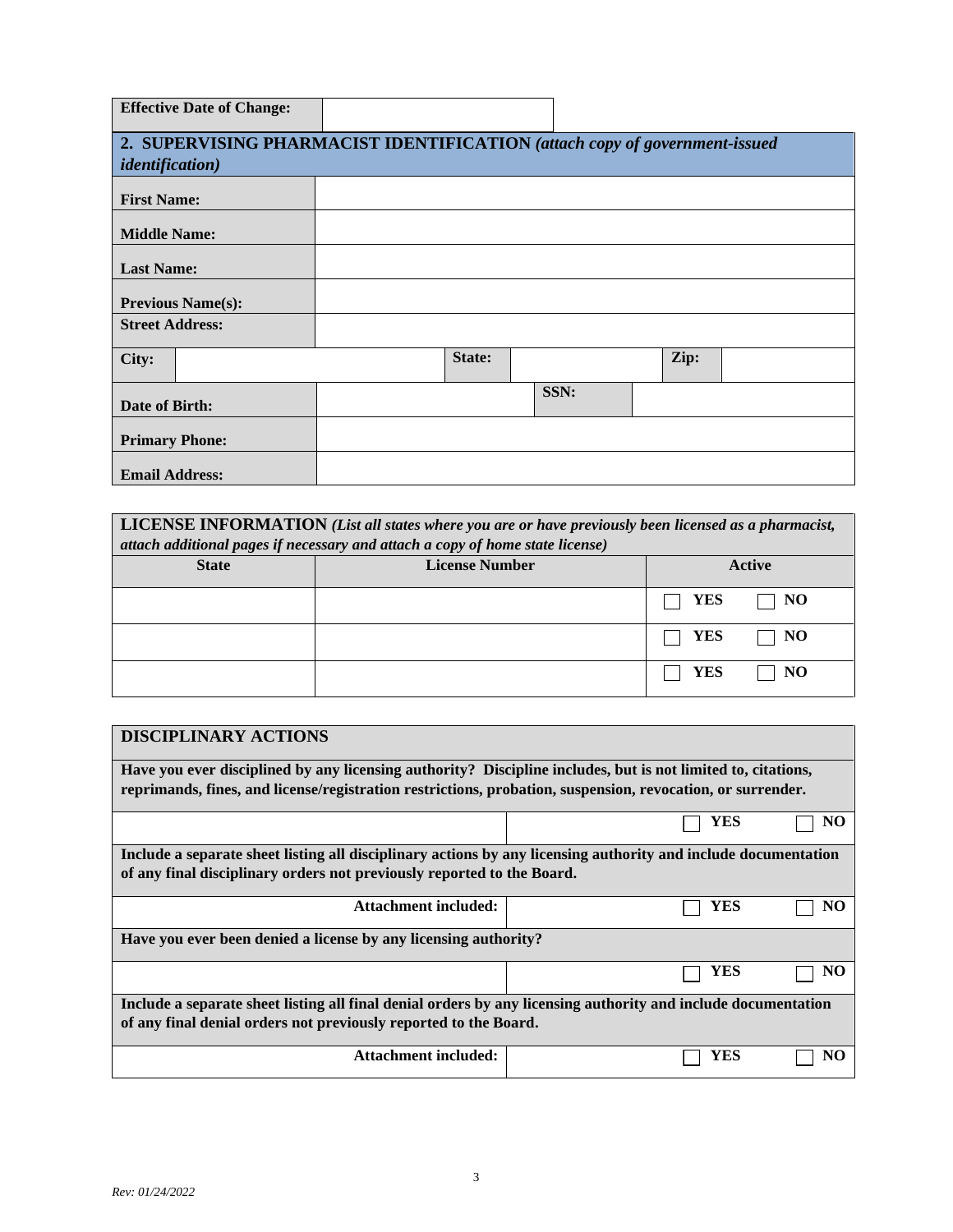| <b>Effective Date of Change:</b> |        |                                                                            |
|----------------------------------|--------|----------------------------------------------------------------------------|
|                                  |        | 2. SUPERVISING PHARMACIST IDENTIFICATION (attach copy of government-issued |
| <i>identification</i> )          |        |                                                                            |
| <b>First Name:</b>               |        |                                                                            |
| <b>Middle Name:</b>              |        |                                                                            |
| <b>Last Name:</b>                |        |                                                                            |
| <b>Previous Name(s):</b>         |        |                                                                            |
| <b>Street Address:</b>           |        |                                                                            |
| City:                            | State: | Zip:                                                                       |
| Date of Birth:                   |        | SSN:                                                                       |
| <b>Primary Phone:</b>            |        |                                                                            |
| <b>Email Address:</b>            |        |                                                                            |

**LICENSE INFORMATION** *(List all states where you are or have previously been licensed as a pharmacist, attach additional pages if necessary and attach a copy of home state license)*

| <b>State</b> | <b>License Number</b> |                      | Active    |
|--------------|-----------------------|----------------------|-----------|
|              |                       | $\top$ YES           | $\Box$ NO |
|              |                       | $\Box$ YES $\Box$ NO |           |
|              |                       | <b>YES</b><br>a a    | $\Box$ NO |

| <b>DISCIPLINARY ACTIONS</b>                                                                                    |           |  |  |
|----------------------------------------------------------------------------------------------------------------|-----------|--|--|
| Have you ever disciplined by any licensing authority? Discipline includes, but is not limited to, citations,   |           |  |  |
| reprimands, fines, and license/registration restrictions, probation, suspension, revocation, or surrender.     |           |  |  |
|                                                                                                                | YES<br>NO |  |  |
| Include a separate sheet listing all disciplinary actions by any licensing authority and include documentation |           |  |  |
| of any final disciplinary orders not previously reported to the Board.                                         |           |  |  |
| Attachment included:                                                                                           | YES<br>NO |  |  |
| Have you ever been denied a license by any licensing authority?                                                |           |  |  |
|                                                                                                                | YES<br>NO |  |  |
| Include a separate sheet listing all final denial orders by any licensing authority and include documentation  |           |  |  |
| of any final denial orders not previously reported to the Board.                                               |           |  |  |
| Attachment included:                                                                                           | YES       |  |  |